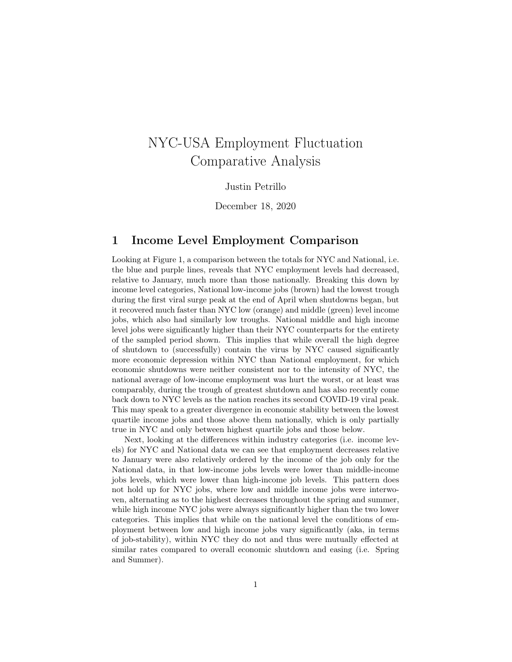# NYC-USA Employment Fluctuation Comparative Analysis

#### Justin Petrillo

December 18, 2020

#### 1 Income Level Employment Comparison

Looking at Figure 1, a comparison between the totals for NYC and National, i.e. the blue and purple lines, reveals that NYC employment levels had decreased, relative to January, much more than those nationally. Breaking this down by income level categories, National low-income jobs (brown) had the lowest trough during the first viral surge peak at the end of April when shutdowns began, but it recovered much faster than NYC low (orange) and middle (green) level income jobs, which also had similarly low troughs. National middle and high income level jobs were significantly higher than their NYC counterparts for the entirety of the sampled period shown. This implies that while overall the high degree of shutdown to (successfully) contain the virus by NYC caused significantly more economic depression within NYC than National employment, for which economic shutdowns were neither consistent nor to the intensity of NYC, the national average of low-income employment was hurt the worst, or at least was comparably, during the trough of greatest shutdown and has also recently come back down to NYC levels as the nation reaches its second COVID-19 viral peak. This may speak to a greater divergence in economic stability between the lowest quartile income jobs and those above them nationally, which is only partially true in NYC and only between highest quartile jobs and those below.

Next, looking at the differences within industry categories (i.e. income levels) for NYC and National data we can see that employment decreases relative to January were also relatively ordered by the income of the job only for the National data, in that low-income jobs levels were lower than middle-income jobs levels, which were lower than high-income job levels. This pattern does not hold up for NYC jobs, where low and middle income jobs were interwoven, alternating as to the highest decreases throughout the spring and summer, while high income NYC jobs were always significantly higher than the two lower categories. This implies that while on the national level the conditions of employment between low and high income jobs vary significantly (aka, in terms of job-stability), within NYC they do not and thus were mutually effected at similar rates compared to overall economic shutdown and easing (i.e. Spring and Summer).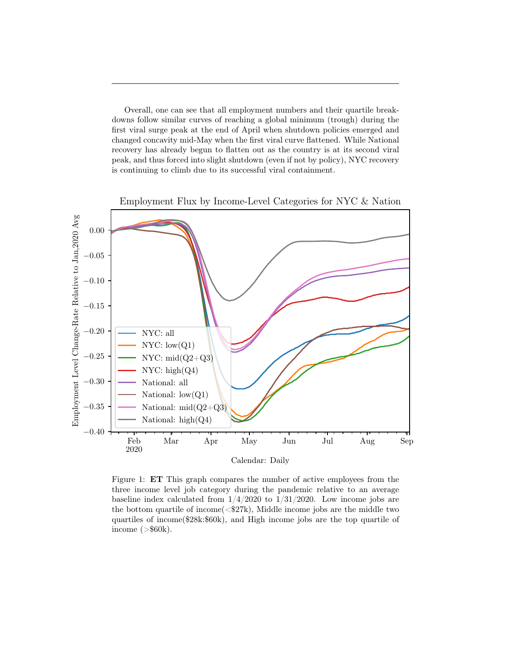Overall, one can see that all employment numbers and their quartile breakdowns follow similar curves of reaching a global minimum (trough) during the first viral surge peak at the end of April when shutdown policies emerged and changed concavity mid-May when the first viral curve flattened. While National recovery has already begun to flatten out as the country is at its second viral peak, and thus forced into slight shutdown (even if not by policy), NYC recovery is continuing to climb due to its successful viral containment.



Figure 1: ET This graph compares the number of active employees from the three income level job category during the pandemic relative to an average baseline index calculated from  $1/4/2020$  to  $1/31/2020$ . Low income jobs are the bottom quartile of income  $\langle \text{F27k} \rangle$ , Middle income jobs are the middle two quartiles of income(\$28k:\$60k), and High income jobs are the top quartile of income  $(>\$60k)$ .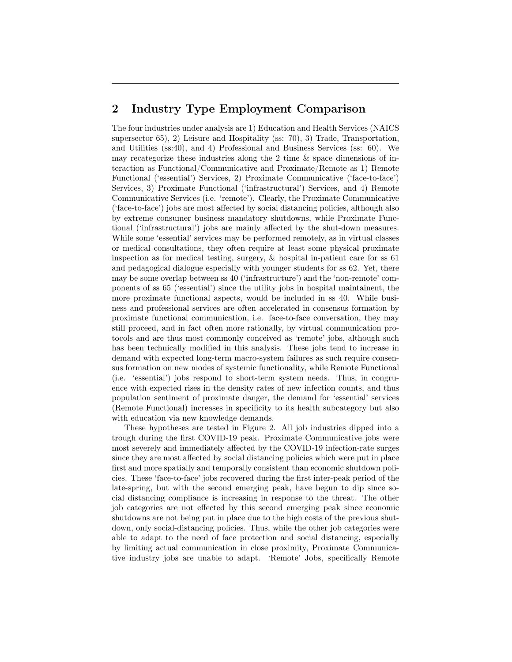### 2 Industry Type Employment Comparison

The four industries under analysis are 1) Education and Health Services (NAICS supersector 65), 2) Leisure and Hospitality (ss: 70), 3) Trade, Transportation, and Utilities (ss:40), and 4) Professional and Business Services (ss: 60). We may recategorize these industries along the 2 time & space dimensions of interaction as Functional/Communicative and Proximate/Remote as 1) Remote Functional ('essential') Services, 2) Proximate Communicative ('face-to-face') Services, 3) Proximate Functional ('infrastructural') Services, and 4) Remote Communicative Services (i.e. 'remote'). Clearly, the Proximate Communicative ('face-to-face') jobs are most affected by social distancing policies, although also by extreme consumer business mandatory shutdowns, while Proximate Functional ('infrastructural') jobs are mainly affected by the shut-down measures. While some 'essential' services may be performed remotely, as in virtual classes or medical consultations, they often require at least some physical proximate inspection as for medical testing, surgery,  $\&$  hospital in-patient care for ss 61 and pedagogical dialogue especially with younger students for ss 62. Yet, there may be some overlap between ss 40 ('infrastructure') and the 'non-remote' components of ss 65 ('essential') since the utility jobs in hospital maintainent, the more proximate functional aspects, would be included in ss 40. While business and professional services are often accelerated in consensus formation by proximate functional communication, i.e. face-to-face conversation, they may still proceed, and in fact often more rationally, by virtual communication protocols and are thus most commonly conceived as 'remote' jobs, although such has been technically modified in this analysis. These jobs tend to increase in demand with expected long-term macro-system failures as such require consensus formation on new modes of systemic functionality, while Remote Functional (i.e. 'essential') jobs respond to short-term system needs. Thus, in congruence with expected rises in the density rates of new infection counts, and thus population sentiment of proximate danger, the demand for 'essential' services (Remote Functional) increases in specificity to its health subcategory but also with education via new knowledge demands.

These hypotheses are tested in Figure 2. All job industries dipped into a trough during the first COVID-19 peak. Proximate Communicative jobs were most severely and immediately affected by the COVID-19 infection-rate surges since they are most affected by social distancing policies which were put in place first and more spatially and temporally consistent than economic shutdown policies. These 'face-to-face' jobs recovered during the first inter-peak period of the late-spring, but with the second emerging peak, have begun to dip since social distancing compliance is increasing in response to the threat. The other job categories are not effected by this second emerging peak since economic shutdowns are not being put in place due to the high costs of the previous shutdown, only social-distancing policies. Thus, while the other job categories were able to adapt to the need of face protection and social distancing, especially by limiting actual communication in close proximity, Proximate Communicative industry jobs are unable to adapt. 'Remote' Jobs, specifically Remote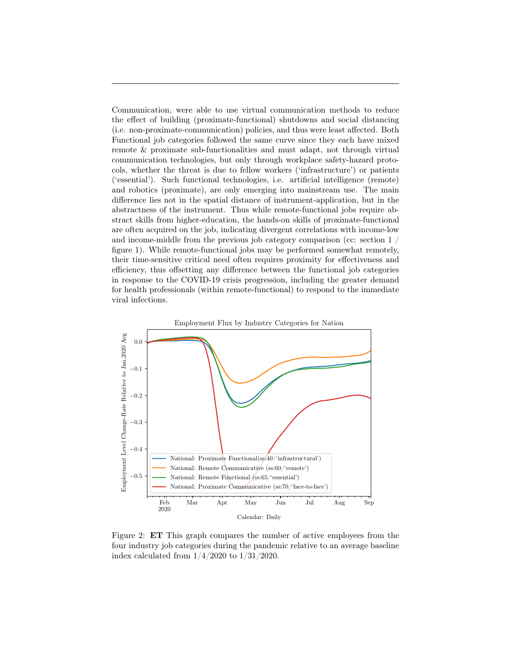Communication, were able to use virtual communication methods to reduce the effect of building (proximate-functional) shutdowns and social distancing (i.e. non-proximate-communication) policies, and thus were least affected. Both Functional job categories followed the same curve since they each have mixed remote & proximate sub-functionalities and must adapt, not through virtual communication technologies, but only through workplace safety-hazard protocols, whether the threat is due to fellow workers ('infrastructure') or patients ('essential'). Such functional technologies, i.e. artificial intelligence (remote) and robotics (proximate), are only emerging into mainstream use. The main difference lies not in the spatial distance of instrument-application, but in the abstractness of the instrument. Thus while remote-functional jobs require abstract skills from higher-education, the hands-on skills of proximate-functional are often acquired on the job, indicating divergent correlations with income-low and income-middle from the previous job category comparison (cc: section 1 / figure 1). While remote-functional jobs may be performed somewhat remotely, their time-sensitive critical need often requires proximity for effectiveness and efficiency, thus offsetting any difference between the functional job categories in response to the COVID-19 crisis progression, including the greater demand for health professionals (within remote-functional) to respond to the immediate viral infections.



Figure 2: ET This graph compares the number of active employees from the four industry job categories during the pandemic relative to an average baseline index calculated from  $1/4/2020$  to  $1/31/2020$ .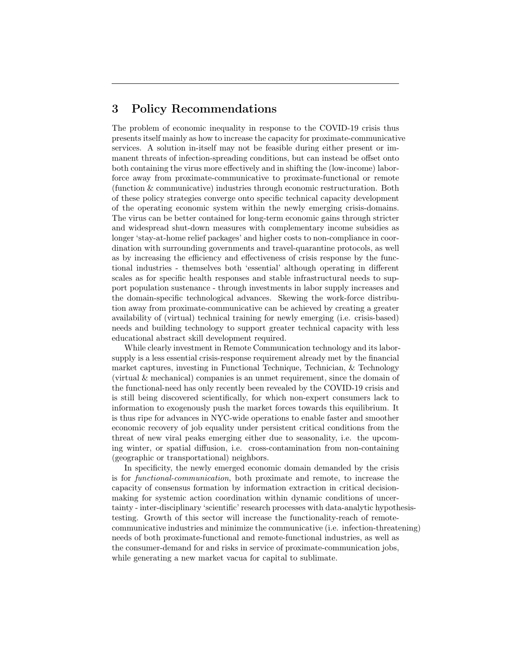#### 3 Policy Recommendations

The problem of economic inequality in response to the COVID-19 crisis thus presents itself mainly as how to increase the capacity for proximate-communicative services. A solution in-itself may not be feasible during either present or immanent threats of infection-spreading conditions, but can instead be offset onto both containing the virus more effectively and in shifting the (low-income) laborforce away from proximate-communicative to proximate-functional or remote (function & communicative) industries through economic restructuration. Both of these policy strategies converge onto specific technical capacity development of the operating economic system within the newly emerging crisis-domains. The virus can be better contained for long-term economic gains through stricter and widespread shut-down measures with complementary income subsidies as longer 'stay-at-home relief packages' and higher costs to non-compliance in coordination with surrounding governments and travel-quarantine protocols, as well as by increasing the efficiency and effectiveness of crisis response by the functional industries - themselves both 'essential' although operating in different scales as for specific health responses and stable infrastructural needs to support population sustenance - through investments in labor supply increases and the domain-specific technological advances. Skewing the work-force distribution away from proximate-communicative can be achieved by creating a greater availability of (virtual) technical training for newly emerging (i.e. crisis-based) needs and building technology to support greater technical capacity with less educational abstract skill development required.

While clearly investment in Remote Communication technology and its laborsupply is a less essential crisis-response requirement already met by the financial market captures, investing in Functional Technique, Technician, & Technology (virtual & mechanical) companies is an unmet requirement, since the domain of the functional-need has only recently been revealed by the COVID-19 crisis and is still being discovered scientifically, for which non-expert consumers lack to information to exogenously push the market forces towards this equilibrium. It is thus ripe for advances in NYC-wide operations to enable faster and smoother economic recovery of job equality under persistent critical conditions from the threat of new viral peaks emerging either due to seasonality, i.e. the upcoming winter, or spatial diffusion, i.e. cross-contamination from non-containing (geographic or transportational) neighbors.

In specificity, the newly emerged economic domain demanded by the crisis is for functional-communication, both proximate and remote, to increase the capacity of consensus formation by information extraction in critical decisionmaking for systemic action coordination within dynamic conditions of uncertainty - inter-disciplinary 'scientific' research processes with data-analytic hypothesistesting. Growth of this sector will increase the functionality-reach of remotecommunicative industries and minimize the communicative (i.e. infection-threatening) needs of both proximate-functional and remote-functional industries, as well as the consumer-demand for and risks in service of proximate-communication jobs, while generating a new market vacua for capital to sublimate.